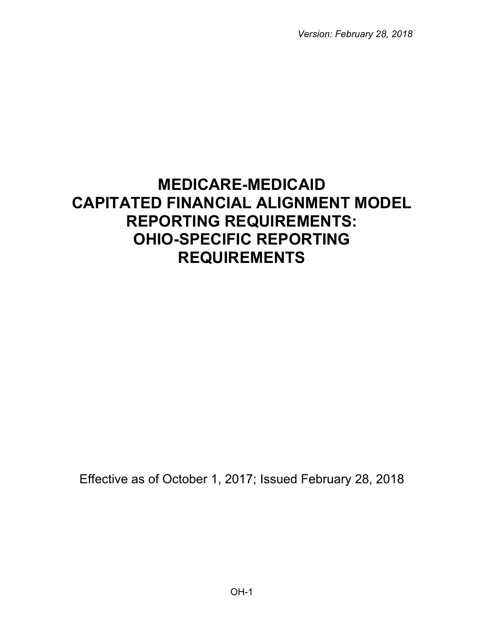*Version: February 28, 2018*

# **MEDICARE-MEDICAID CAPITATED FINANCIAL ALIGNMENT MODEL REPORTING REQUIREMENTS: OHIO-SPECIFIC REPORTING REQUIREMENTS**

Effective as of October 1, 2017; Issued February 28, 2018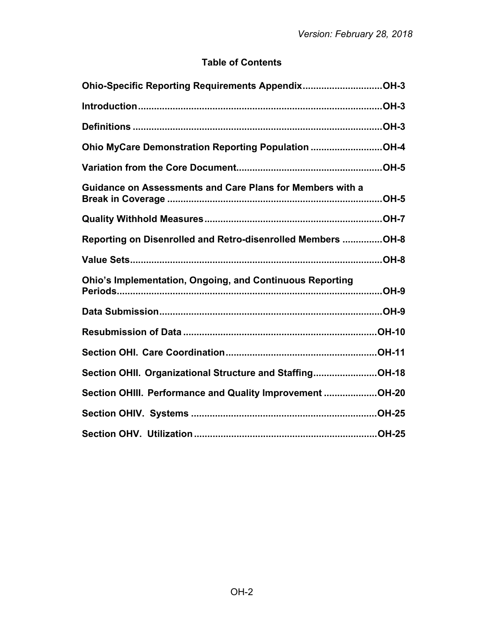## **Table of Contents**

| Ohio-Specific Reporting Requirements AppendixOH-3                |  |
|------------------------------------------------------------------|--|
|                                                                  |  |
|                                                                  |  |
| Ohio MyCare Demonstration Reporting Population OH-4              |  |
|                                                                  |  |
| <b>Guidance on Assessments and Care Plans for Members with a</b> |  |
|                                                                  |  |
| Reporting on Disenrolled and Retro-disenrolled Members OH-8      |  |
|                                                                  |  |
| <b>Ohio's Implementation, Ongoing, and Continuous Reporting</b>  |  |
|                                                                  |  |
|                                                                  |  |
|                                                                  |  |
| Section OHII. Organizational Structure and StaffingOH-18         |  |
| Section OHIII. Performance and Quality Improvement OH-20         |  |
|                                                                  |  |
|                                                                  |  |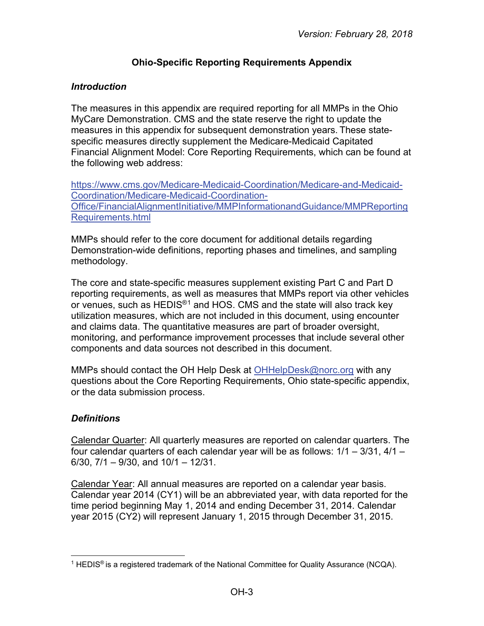## **Ohio-Specific Reporting Requirements Appendix**

## <span id="page-2-1"></span><span id="page-2-0"></span>*Introduction*

The measures in this appendix are required reporting for all MMPs in the Ohio MyCare Demonstration. CMS and the state reserve the right to update the measures in this appendix for subsequent demonstration years. These statespecific measures directly supplement the Medicare-Medicaid Capitated Financial Alignment Model: Core Reporting Requirements, which can be found at the following web address:

[https://www.cms.gov/Medicare-Medicaid-Coordination/Medicare-and-Medicaid-](https://www.cms.gov/Medicare-Medicaid-Coordination/Medicare-and-Medicaid-Coordination/Medicare-Medicaid-Coordination-Office/FinancialAlignmentInitiative/MMPInformationandGuidance/MMPReportingRequirements.html)[Coordination/Medicare-Medicaid-Coordination-](https://www.cms.gov/Medicare-Medicaid-Coordination/Medicare-and-Medicaid-Coordination/Medicare-Medicaid-Coordination-Office/FinancialAlignmentInitiative/MMPInformationandGuidance/MMPReportingRequirements.html)[Office/FinancialAlignmentInitiative/MMPInformationandGuidance/MMPReporting](https://www.cms.gov/Medicare-Medicaid-Coordination/Medicare-and-Medicaid-Coordination/Medicare-Medicaid-Coordination-Office/FinancialAlignmentInitiative/MMPInformationandGuidance/MMPReportingRequirements.html) [Requirements.html](https://www.cms.gov/Medicare-Medicaid-Coordination/Medicare-and-Medicaid-Coordination/Medicare-Medicaid-Coordination-Office/FinancialAlignmentInitiative/MMPInformationandGuidance/MMPReportingRequirements.html) 

MMPs should refer to the core document for additional details regarding Demonstration-wide definitions, reporting phases and timelines, and sampling methodology.

The core and state-specific measures supplement existing Part C and Part D reporting requirements, as well as measures that MMPs report via other vehicles or venues, such as HEDIS<sup>®[1](#page-2-3)</sup> and HOS. CMS and the state will also track key utilization measures, which are not included in this document, using encounter and claims data. The quantitative measures are part of broader oversight, monitoring, and performance improvement processes that include several other components and data sources not described in this document.

MMPs should contact the OH Help Desk at [OHHelpDesk@norc.org](mailto:OHHelpDesk@norc.org) with any questions about the Core Reporting Requirements, Ohio state-specific appendix, or the data submission process.

## <span id="page-2-2"></span>*Definitions*

Calendar Quarter: All quarterly measures are reported on calendar quarters. The four calendar quarters of each calendar year will be as follows: 1/1 – 3/31, 4/1 – 6/30, 7/1 – 9/30, and 10/1 – 12/31.

Calendar Year: All annual measures are reported on a calendar year basis. Calendar year 2014 (CY1) will be an abbreviated year, with data reported for the time period beginning May 1, 2014 and ending December 31, 2014. Calendar year 2015 (CY2) will represent January 1, 2015 through December 31, 2015.

<span id="page-2-3"></span><sup>&</sup>lt;sup>1</sup> HEDIS<sup>®</sup> is a registered trademark of the National Committee for Quality Assurance (NCQA).  $\overline{a}$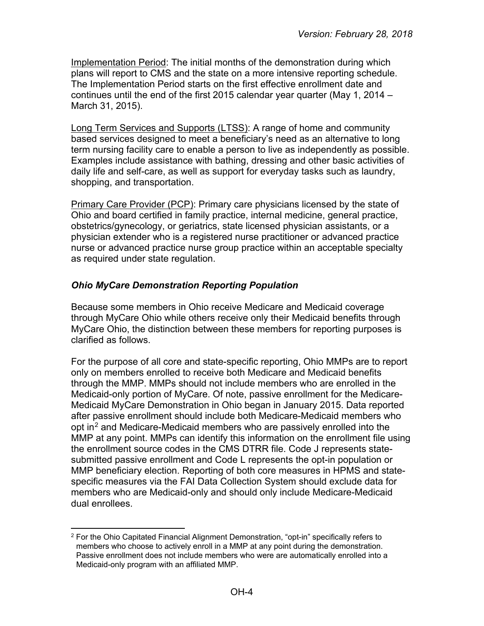Implementation Period: The initial months of the demonstration during which plans will report to CMS and the state on a more intensive reporting schedule. The Implementation Period starts on the first effective enrollment date and continues until the end of the first 2015 calendar year quarter (May 1, 2014 – March 31, 2015).

Long Term Services and Supports (LTSS): A range of home and community based services designed to meet a beneficiary's need as an alternative to long term nursing facility care to enable a person to live as independently as possible. Examples include assistance with bathing, dressing and other basic activities of daily life and self-care, as well as support for everyday tasks such as laundry, shopping, and transportation.

Primary Care Provider (PCP): Primary care physicians licensed by the state of Ohio and board certified in family practice, internal medicine, general practice, obstetrics/gynecology, or geriatrics, state licensed physician assistants, or a physician extender who is a registered nurse practitioner or advanced practice nurse or advanced practice nurse group practice within an acceptable specialty as required under state regulation.

## <span id="page-3-0"></span>*Ohio MyCare Demonstration Reporting Population*

Because some members in Ohio receive Medicare and Medicaid coverage through MyCare Ohio while others receive only their Medicaid benefits through MyCare Ohio, the distinction between these members for reporting purposes is clarified as follows.

For the purpose of all core and state-specific reporting, Ohio MMPs are to report only on members enrolled to receive both Medicare and Medicaid benefits through the MMP. MMPs should not include members who are enrolled in the Medicaid-only portion of MyCare. Of note, passive enrollment for the Medicare-Medicaid MyCare Demonstration in Ohio began in January 2015. Data reported after passive enrollment should include both Medicare-Medicaid members who opt in<sup>[2](#page-3-1)</sup> and Medicare-Medicaid members who are passively enrolled into the MMP at any point. MMPs can identify this information on the enrollment file using the enrollment source codes in the CMS DTRR file. Code J represents statesubmitted passive enrollment and Code L represents the opt-in population or MMP beneficiary election. Reporting of both core measures in HPMS and statespecific measures via the FAI Data Collection System should exclude data for members who are Medicaid-only and should only include Medicare-Medicaid dual enrollees.

<span id="page-3-1"></span> $2$  For the Ohio Capitated Financial Alignment Demonstration, "opt-in" specifically refers to members who choose to actively enroll in a MMP at any point during the demonstration. Passive enrollment does not include members who were are automatically enrolled into a Medicaid-only program with an affiliated MMP.  $\overline{a}$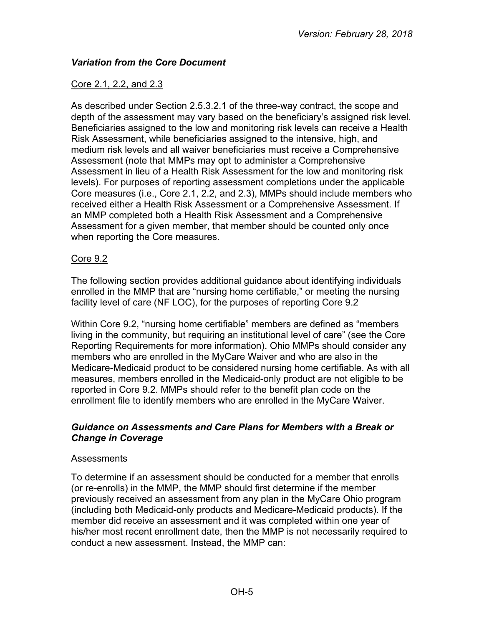## <span id="page-4-0"></span>*Variation from the Core Document*

## Core 2.1, 2.2, and 2.3

As described under Section 2.5.3.2.1 of the three-way contract, the scope and depth of the assessment may vary based on the beneficiary's assigned risk level. Beneficiaries assigned to the low and monitoring risk levels can receive a Health Risk Assessment, while beneficiaries assigned to the intensive, high, and medium risk levels and all waiver beneficiaries must receive a Comprehensive Assessment (note that MMPs may opt to administer a Comprehensive Assessment in lieu of a Health Risk Assessment for the low and monitoring risk levels). For purposes of reporting assessment completions under the applicable Core measures (i.e., Core 2.1, 2.2, and 2.3), MMPs should include members who received either a Health Risk Assessment or a Comprehensive Assessment. If an MMP completed both a Health Risk Assessment and a Comprehensive Assessment for a given member, that member should be counted only once when reporting the Core measures.

## Core 9.2

The following section provides additional guidance about identifying individuals enrolled in the MMP that are "nursing home certifiable," or meeting the nursing facility level of care (NF LOC), for the purposes of reporting Core 9.2

Within Core 9.2, "nursing home certifiable" members are defined as "members living in the community, but requiring an institutional level of care" (see the Core Reporting Requirements for more information). Ohio MMPs should consider any members who are enrolled in the MyCare Waiver and who are also in the Medicare-Medicaid product to be considered nursing home certifiable. As with all measures, members enrolled in the Medicaid-only product are not eligible to be reported in Core 9.2. MMPs should refer to the benefit plan code on the enrollment file to identify members who are enrolled in the MyCare Waiver.

#### <span id="page-4-1"></span>*Guidance on Assessments and Care Plans for Members with a Break or Change in Coverage*

## Assessments

To determine if an assessment should be conducted for a member that enrolls (or re-enrolls) in the MMP, the MMP should first determine if the member previously received an assessment from any plan in the MyCare Ohio program (including both Medicaid-only products and Medicare-Medicaid products). If the member did receive an assessment and it was completed within one year of his/her most recent enrollment date, then the MMP is not necessarily required to conduct a new assessment. Instead, the MMP can: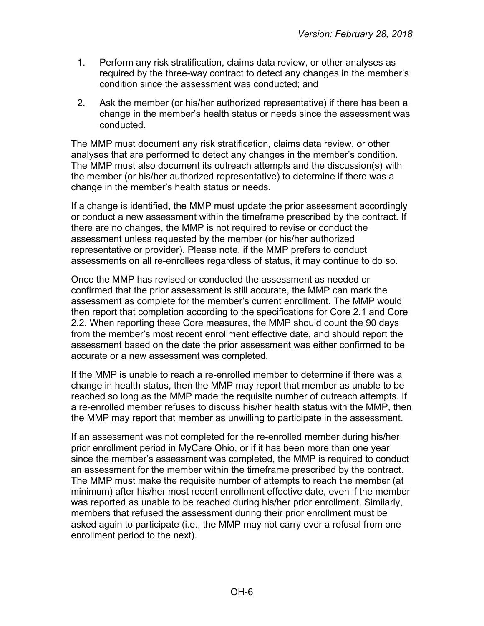- 1. Perform any risk stratification, claims data review, or other analyses as required by the three-way contract to detect any changes in the member's condition since the assessment was conducted; and
- 2. Ask the member (or his/her authorized representative) if there has been a change in the member's health status or needs since the assessment was conducted.

The MMP must document any risk stratification, claims data review, or other analyses that are performed to detect any changes in the member's condition. The MMP must also document its outreach attempts and the discussion(s) with the member (or his/her authorized representative) to determine if there was a change in the member's health status or needs.

If a change is identified, the MMP must update the prior assessment accordingly or conduct a new assessment within the timeframe prescribed by the contract. If there are no changes, the MMP is not required to revise or conduct the assessment unless requested by the member (or his/her authorized representative or provider). Please note, if the MMP prefers to conduct assessments on all re-enrollees regardless of status, it may continue to do so.

Once the MMP has revised or conducted the assessment as needed or confirmed that the prior assessment is still accurate, the MMP can mark the assessment as complete for the member's current enrollment. The MMP would then report that completion according to the specifications for Core 2.1 and Core 2.2. When reporting these Core measures, the MMP should count the 90 days from the member's most recent enrollment effective date, and should report the assessment based on the date the prior assessment was either confirmed to be accurate or a new assessment was completed.

If the MMP is unable to reach a re-enrolled member to determine if there was a change in health status, then the MMP may report that member as unable to be reached so long as the MMP made the requisite number of outreach attempts. If a re-enrolled member refuses to discuss his/her health status with the MMP, then the MMP may report that member as unwilling to participate in the assessment.

If an assessment was not completed for the re-enrolled member during his/her prior enrollment period in MyCare Ohio, or if it has been more than one year since the member's assessment was completed, the MMP is required to conduct an assessment for the member within the timeframe prescribed by the contract. The MMP must make the requisite number of attempts to reach the member (at minimum) after his/her most recent enrollment effective date, even if the member was reported as unable to be reached during his/her prior enrollment. Similarly, members that refused the assessment during their prior enrollment must be asked again to participate (i.e., the MMP may not carry over a refusal from one enrollment period to the next).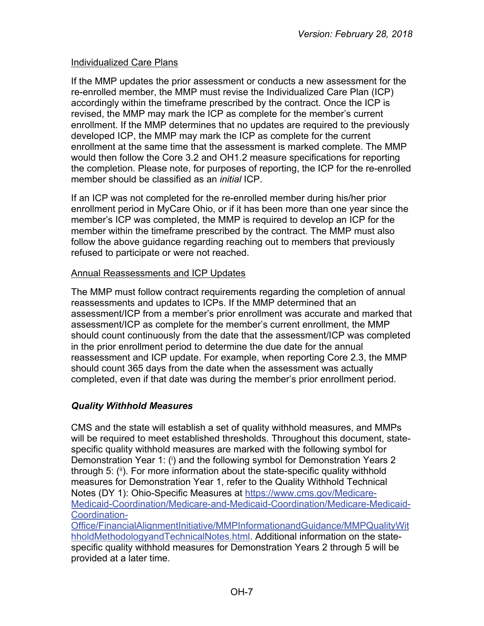## Individualized Care Plans

If the MMP updates the prior assessment or conducts a new assessment for the re-enrolled member, the MMP must revise the Individualized Care Plan (ICP) accordingly within the timeframe prescribed by the contract. Once the ICP is revised, the MMP may mark the ICP as complete for the member's current enrollment. If the MMP determines that no updates are required to the previously developed ICP, the MMP may mark the ICP as complete for the current enrollment at the same time that the assessment is marked complete. The MMP would then follow the Core 3.2 and OH1.2 measure specifications for reporting the completion. Please note, for purposes of reporting, the ICP for the re-enrolled member should be classified as an *initial* ICP.

If an ICP was not completed for the re-enrolled member during his/her prior enrollment period in MyCare Ohio, or if it has been more than one year since the member's ICP was completed, the MMP is required to develop an ICP for the member within the timeframe prescribed by the contract. The MMP must also follow the above guidance regarding reaching out to members that previously refused to participate or were not reached.

## Annual Reassessments and ICP Updates

The MMP must follow contract requirements regarding the completion of annual reassessments and updates to ICPs. If the MMP determined that an assessment/ICP from a member's prior enrollment was accurate and marked that assessment/ICP as complete for the member's current enrollment, the MMP should count continuously from the date that the assessment/ICP was completed in the prior enrollment period to determine the due date for the annual reassessment and ICP update. For example, when reporting Core 2.3, the MMP should count 365 days from the date when the assessment was actually completed, even if that date was during the member's prior enrollment period.

## <span id="page-6-0"></span>*Quality Withhold Measures*

CMS and the state will establish a set of quality withhold measures, and MMPs will be required to meet established thresholds. Throughout this document, statespecific quality withhold measures are marked with the following symbol for Demonstration Year 1: (i) and the following symbol for Demonstration Years 2 through 5: (ii). For more information about the state-specific quality withhold measures for Demonstration Year 1, refer to the Quality Withhold Technical Notes (DY 1): Ohio-Specific Measures at [https://www.cms.gov/Medicare-](https://www.cms.gov/Medicare-Medicaid-Coordination/Medicare-and-Medicaid-Coordination/Medicare-Medicaid-Coordination-Office/FinancialAlignmentInitiative/MMPInformationandGuidance/MMPQualityWithholdMethodologyandTechnicalNotes.html)[Medicaid-Coordination/Medicare-and-Medicaid-Coordination/Medicare-Medicaid-](https://www.cms.gov/Medicare-Medicaid-Coordination/Medicare-and-Medicaid-Coordination/Medicare-Medicaid-Coordination-Office/FinancialAlignmentInitiative/MMPInformationandGuidance/MMPQualityWithholdMethodologyandTechnicalNotes.html)[Coordination-](https://www.cms.gov/Medicare-Medicaid-Coordination/Medicare-and-Medicaid-Coordination/Medicare-Medicaid-Coordination-Office/FinancialAlignmentInitiative/MMPInformationandGuidance/MMPQualityWithholdMethodologyandTechnicalNotes.html)

[Office/FinancialAlignmentInitiative/MMPInformationandGuidance/MMPQualityWit](https://www.cms.gov/Medicare-Medicaid-Coordination/Medicare-and-Medicaid-Coordination/Medicare-Medicaid-Coordination-Office/FinancialAlignmentInitiative/MMPInformationandGuidance/MMPQualityWithholdMethodologyandTechnicalNotes.html) [hholdMethodologyandTechnicalNotes.html.](https://www.cms.gov/Medicare-Medicaid-Coordination/Medicare-and-Medicaid-Coordination/Medicare-Medicaid-Coordination-Office/FinancialAlignmentInitiative/MMPInformationandGuidance/MMPQualityWithholdMethodologyandTechnicalNotes.html) Additional information on the statespecific quality withhold measures for Demonstration Years 2 through 5 will be provided at a later time.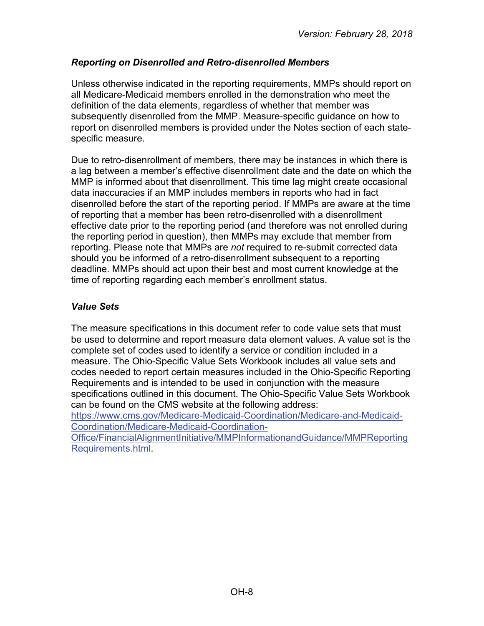## <span id="page-7-0"></span>*Reporting on Disenrolled and Retro-disenrolled Members*

Unless otherwise indicated in the reporting requirements, MMPs should report on all Medicare-Medicaid members enrolled in the demonstration who meet the definition of the data elements, regardless of whether that member was subsequently disenrolled from the MMP. Measure-specific guidance on how to report on disenrolled members is provided under the Notes section of each statespecific measure.

Due to retro-disenrollment of members, there may be instances in which there is a lag between a member's effective disenrollment date and the date on which the MMP is informed about that disenrollment. This time lag might create occasional data inaccuracies if an MMP includes members in reports who had in fact disenrolled before the start of the reporting period. If MMPs are aware at the time of reporting that a member has been retro-disenrolled with a disenrollment effective date prior to the reporting period (and therefore was not enrolled during the reporting period in question), then MMPs may exclude that member from reporting. Please note that MMPs are *not* required to re-submit corrected data should you be informed of a retro-disenrollment subsequent to a reporting deadline. MMPs should act upon their best and most current knowledge at the time of reporting regarding each member's enrollment status.

#### <span id="page-7-1"></span>*Value Sets*

The measure specifications in this document refer to code value sets that must be used to determine and report measure data element values. A value set is the complete set of codes used to identify a service or condition included in a measure. The Ohio-Specific Value Sets Workbook includes all value sets and codes needed to report certain measures included in the Ohio-Specific Reporting Requirements and is intended to be used in conjunction with the measure specifications outlined in this document. The Ohio-Specific Value Sets Workbook can be found on the CMS website at the following address:

[https://www.cms.gov/Medicare-Medicaid-Coordination/Medicare-and-Medicaid-](https://www.cms.gov/Medicare-Medicaid-Coordination/Medicare-and-Medicaid-Coordination/Medicare-Medicaid-Coordination-Office/FinancialAlignmentInitiative/MMPInformationandGuidance/MMPReportingRequirements.html)[Coordination/Medicare-Medicaid-Coordination-](https://www.cms.gov/Medicare-Medicaid-Coordination/Medicare-and-Medicaid-Coordination/Medicare-Medicaid-Coordination-Office/FinancialAlignmentInitiative/MMPInformationandGuidance/MMPReportingRequirements.html)

<span id="page-7-2"></span>[Office/FinancialAlignmentInitiative/MMPInformationandGuidance/MMPReporting](https://www.cms.gov/Medicare-Medicaid-Coordination/Medicare-and-Medicaid-Coordination/Medicare-Medicaid-Coordination-Office/FinancialAlignmentInitiative/MMPInformationandGuidance/MMPReportingRequirements.html) [Requirements.html.](https://www.cms.gov/Medicare-Medicaid-Coordination/Medicare-and-Medicaid-Coordination/Medicare-Medicaid-Coordination-Office/FinancialAlignmentInitiative/MMPInformationandGuidance/MMPReportingRequirements.html)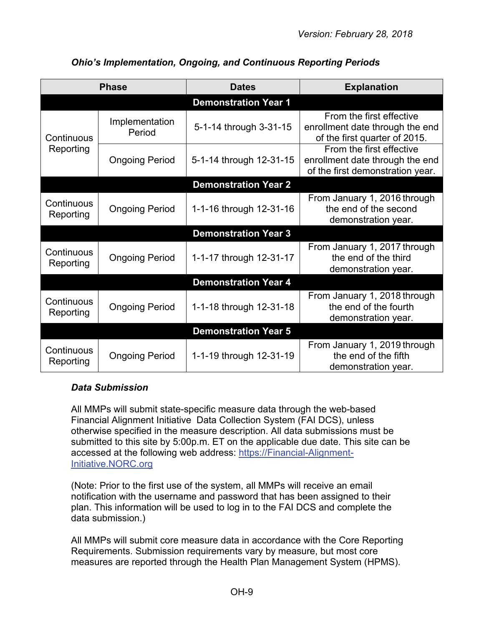|                         | <b>Phase</b>             | <b>Dates</b>                | <b>Explanation</b>                                                                              |
|-------------------------|--------------------------|-----------------------------|-------------------------------------------------------------------------------------------------|
|                         |                          | <b>Demonstration Year 1</b> |                                                                                                 |
| Continuous              | Implementation<br>Period | 5-1-14 through 3-31-15      | From the first effective<br>enrollment date through the end<br>of the first quarter of 2015.    |
| Reporting               | <b>Ongoing Period</b>    | 5-1-14 through 12-31-15     | From the first effective<br>enrollment date through the end<br>of the first demonstration year. |
|                         |                          | <b>Demonstration Year 2</b> |                                                                                                 |
| Continuous<br>Reporting | <b>Ongoing Period</b>    | 1-1-16 through 12-31-16     | From January 1, 2016 through<br>the end of the second<br>demonstration year.                    |
|                         |                          | <b>Demonstration Year 3</b> |                                                                                                 |
| Continuous<br>Reporting | <b>Ongoing Period</b>    | 1-1-17 through 12-31-17     | From January 1, 2017 through<br>the end of the third<br>demonstration year.                     |
|                         |                          | <b>Demonstration Year 4</b> |                                                                                                 |
| Continuous<br>Reporting | <b>Ongoing Period</b>    | 1-1-18 through 12-31-18     | From January 1, 2018 through<br>the end of the fourth<br>demonstration year.                    |
|                         |                          | <b>Demonstration Year 5</b> |                                                                                                 |
| Continuous<br>Reporting | <b>Ongoing Period</b>    | 1-1-19 through 12-31-19     | From January 1, 2019 through<br>the end of the fifth<br>demonstration year.                     |

## *Ohio's Implementation, Ongoing, and Continuous Reporting Periods*

## <span id="page-8-0"></span>*Data Submission*

All MMPs will submit state-specific measure data through the web-based Financial Alignment Initiative Data Collection System (FAI DCS), unless otherwise specified in the measure description. All data submissions must be submitted to this site by 5:00p.m. ET on the applicable due date. This site can be accessed at the following web address: [https://Financial-Alignment-](https://financial-alignment-initiative.norc.org/)[Initiative.NORC.org](https://financial-alignment-initiative.norc.org/)

(Note: Prior to the first use of the system, all MMPs will receive an email notification with the username and password that has been assigned to their plan. This information will be used to log in to the FAI DCS and complete the data submission.)

All MMPs will submit core measure data in accordance with the Core Reporting Requirements. Submission requirements vary by measure, but most core measures are reported through the Health Plan Management System (HPMS).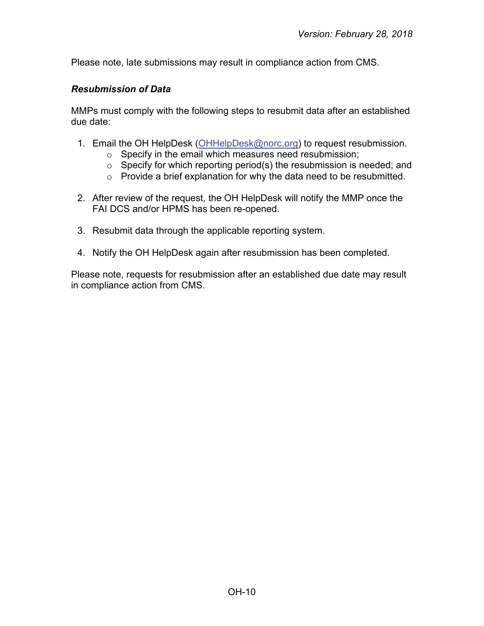Please note, late submissions may result in compliance action from CMS.

#### <span id="page-9-0"></span>*Resubmission of Data*

MMPs must comply with the following steps to resubmit data after an established due date:

- 1. Email the OH HelpDesk [\(OHHelpDesk@norc.org\)](mailto:OHHelpDesk@norc.org) to request resubmission.
	- o Specify in the email which measures need resubmission;
	- $\circ$  Specify for which reporting period(s) the resubmission is needed; and
	- o Provide a brief explanation for why the data need to be resubmitted.
- 2. After review of the request, the OH HelpDesk will notify the MMP once the FAI DCS and/or HPMS has been re-opened.
- 3. Resubmit data through the applicable reporting system.
- 4. Notify the OH HelpDesk again after resubmission has been completed.

Please note, requests for resubmission after an established due date may result in compliance action from CMS.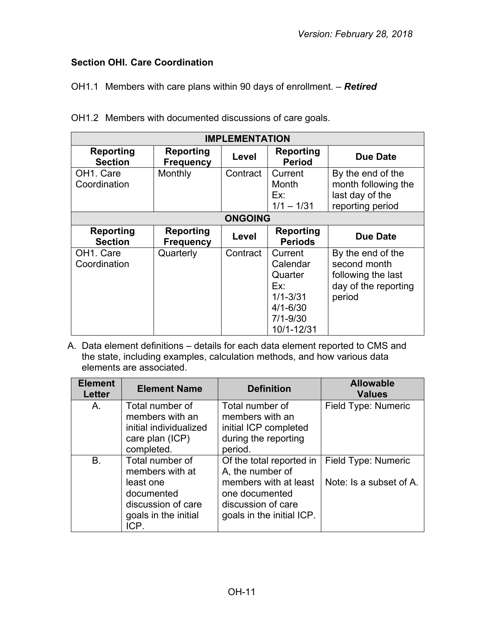# <span id="page-10-0"></span>**Section OHI. Care Coordination**

OH1.1 Members with care plans within 90 days of enrollment. – *Retired*

|  |  | OH1.2 Members with documented discussions of care goals. |  |
|--|--|----------------------------------------------------------|--|
|  |  |                                                          |  |

| <b>IMPLEMENTATION</b>                  |                                      |                |                                                                                                     |                                                                                           |  |
|----------------------------------------|--------------------------------------|----------------|-----------------------------------------------------------------------------------------------------|-------------------------------------------------------------------------------------------|--|
| <b>Reporting</b><br><b>Section</b>     | Reporting<br><b>Frequency</b>        | Level          | Reporting<br><b>Period</b>                                                                          | Due Date                                                                                  |  |
| OH <sub>1</sub> . Care<br>Coordination | Monthly                              | Contract       | Current<br>Month<br>Ex:<br>$1/1 - 1/31$                                                             | By the end of the<br>month following the<br>last day of the<br>reporting period           |  |
|                                        |                                      | <b>ONGOING</b> |                                                                                                     |                                                                                           |  |
| <b>Reporting</b><br><b>Section</b>     | <b>Reporting</b><br><b>Frequency</b> | Level          | <b>Reporting</b><br><b>Periods</b>                                                                  | <b>Due Date</b>                                                                           |  |
| OH <sub>1</sub> . Care<br>Coordination | Quarterly                            | Contract       | Current<br>Calendar<br>Quarter<br>Ex:<br>$1/1 - 3/31$<br>$4/1 - 6/30$<br>$7/1 - 9/30$<br>10/1-12/31 | By the end of the<br>second month<br>following the last<br>day of the reporting<br>period |  |

A. Data element definitions – details for each data element reported to CMS and the state, including examples, calculation methods, and how various data elements are associated.

| <b>Element</b><br><b>Letter</b> | <b>Element Name</b>                                                                                                 | <b>Definition</b>                                                                                                                          | <b>Allowable</b><br><b>Values</b>              |
|---------------------------------|---------------------------------------------------------------------------------------------------------------------|--------------------------------------------------------------------------------------------------------------------------------------------|------------------------------------------------|
| A.                              | Total number of<br>members with an<br>initial individualized<br>care plan (ICP)<br>completed.                       | Total number of<br>members with an<br>initial ICP completed<br>during the reporting<br>period.                                             | Field Type: Numeric                            |
| <b>B.</b>                       | Total number of<br>members with at<br>least one<br>documented<br>discussion of care<br>goals in the initial<br>ICP. | Of the total reported in<br>A, the number of<br>members with at least<br>one documented<br>discussion of care<br>goals in the initial ICP. | Field Type: Numeric<br>Note: Is a subset of A. |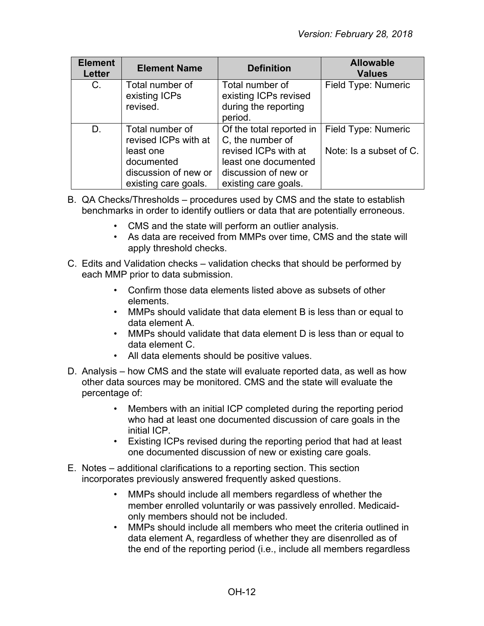| <b>Element</b><br><b>Letter</b> | <b>Element Name</b>                                                                                                | <b>Definition</b>                                                                                                                            | <b>Allowable</b><br><b>Values</b>              |
|---------------------------------|--------------------------------------------------------------------------------------------------------------------|----------------------------------------------------------------------------------------------------------------------------------------------|------------------------------------------------|
| C.                              | Total number of<br>existing ICPs<br>revised.                                                                       | Total number of<br>existing ICPs revised<br>during the reporting<br>period.                                                                  | Field Type: Numeric                            |
| D.                              | Total number of<br>revised ICPs with at<br>least one<br>documented<br>discussion of new or<br>existing care goals. | Of the total reported in<br>C, the number of<br>revised ICPs with at<br>least one documented<br>discussion of new or<br>existing care goals. | Field Type: Numeric<br>Note: Is a subset of C. |

- B. QA Checks/Thresholds procedures used by CMS and the state to establish benchmarks in order to identify outliers or data that are potentially erroneous.
	- CMS and the state will perform an outlier analysis.
	- As data are received from MMPs over time, CMS and the state will apply threshold checks.
- C. Edits and Validation checks validation checks that should be performed by each MMP prior to data submission.
	- Confirm those data elements listed above as subsets of other elements.
	- MMPs should validate that data element B is less than or equal to data element A.
	- MMPs should validate that data element D is less than or equal to data element C.
	- All data elements should be positive values.
- D. Analysis how CMS and the state will evaluate reported data, as well as how other data sources may be monitored. CMS and the state will evaluate the percentage of:
	- Members with an initial ICP completed during the reporting period who had at least one documented discussion of care goals in the initial ICP.
	- Existing ICPs revised during the reporting period that had at least one documented discussion of new or existing care goals.
- E. Notes additional clarifications to a reporting section. This section incorporates previously answered frequently asked questions.
	- MMPs should include all members regardless of whether the member enrolled voluntarily or was passively enrolled. Medicaidonly members should not be included.
	- MMPs should include all members who meet the criteria outlined in data element A, regardless of whether they are disenrolled as of the end of the reporting period (i.e., include all members regardless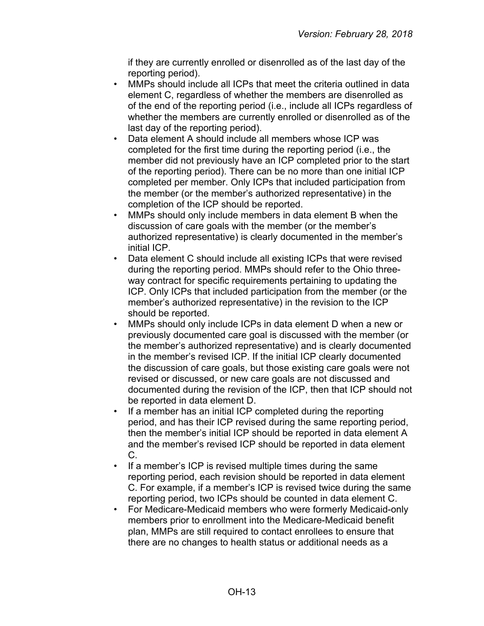if they are currently enrolled or disenrolled as of the last day of the reporting period).

- MMPs should include all ICPs that meet the criteria outlined in data element C, regardless of whether the members are disenrolled as of the end of the reporting period (i.e., include all ICPs regardless of whether the members are currently enrolled or disenrolled as of the last day of the reporting period).
- Data element A should include all members whose ICP was completed for the first time during the reporting period (i.e., the member did not previously have an ICP completed prior to the start of the reporting period). There can be no more than one initial ICP completed per member. Only ICPs that included participation from the member (or the member's authorized representative) in the completion of the ICP should be reported.
- MMPs should only include members in data element B when the discussion of care goals with the member (or the member's authorized representative) is clearly documented in the member's initial ICP.
- Data element C should include all existing ICPs that were revised during the reporting period. MMPs should refer to the Ohio threeway contract for specific requirements pertaining to updating the ICP. Only ICPs that included participation from the member (or the member's authorized representative) in the revision to the ICP should be reported.
- MMPs should only include ICPs in data element D when a new or previously documented care goal is discussed with the member (or the member's authorized representative) and is clearly documented in the member's revised ICP. If the initial ICP clearly documented the discussion of care goals, but those existing care goals were not revised or discussed, or new care goals are not discussed and documented during the revision of the ICP, then that ICP should not be reported in data element D.
- If a member has an initial ICP completed during the reporting period, and has their ICP revised during the same reporting period, then the member's initial ICP should be reported in data element A and the member's revised ICP should be reported in data element C.
- If a member's ICP is revised multiple times during the same reporting period, each revision should be reported in data element C. For example, if a member's ICP is revised twice during the same reporting period, two ICPs should be counted in data element C.
- For Medicare-Medicaid members who were formerly Medicaid-only members prior to enrollment into the Medicare-Medicaid benefit plan, MMPs are still required to contact enrollees to ensure that there are no changes to health status or additional needs as a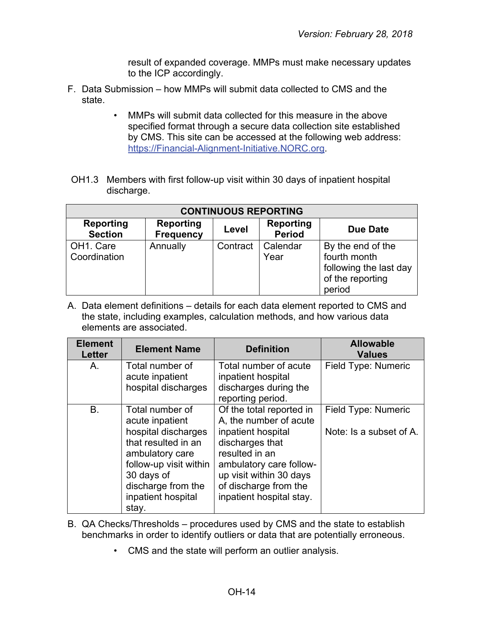result of expanded coverage. MMPs must make necessary updates to the ICP accordingly.

- F. Data Submission how MMPs will submit data collected to CMS and the state.
	- MMPs will submit data collected for this measure in the above specified format through a secure data collection site established by CMS. This site can be accessed at the following web address: [https://Financial-Alignment-Initiative.NORC.org.](https://financial-alignment-initiative.norc.org/)
- OH1.3 Members with first follow-up visit within 30 days of inpatient hospital discharge.

| <b>CONTINUOUS REPORTING</b>            |                                      |          |                                   |                                                                                           |  |
|----------------------------------------|--------------------------------------|----------|-----------------------------------|-------------------------------------------------------------------------------------------|--|
| Reporting<br><b>Section</b>            | <b>Reporting</b><br><b>Frequency</b> | Level    | <b>Reporting</b><br><b>Period</b> | Due Date                                                                                  |  |
| OH <sub>1</sub> . Care<br>Coordination | Annually                             | Contract | Calendar<br>Year                  | By the end of the<br>fourth month<br>following the last day<br>of the reporting<br>period |  |

A. Data element definitions – details for each data element reported to CMS and the state, including examples, calculation methods, and how various data elements are associated.

| <b>Element</b><br><b>Letter</b> | <b>Element Name</b>                                                                                                                                                                              | <b>Definition</b>                                                                                                                                                                                                        | <b>Allowable</b><br><b>Values</b>              |
|---------------------------------|--------------------------------------------------------------------------------------------------------------------------------------------------------------------------------------------------|--------------------------------------------------------------------------------------------------------------------------------------------------------------------------------------------------------------------------|------------------------------------------------|
| Α.                              | Total number of<br>acute inpatient<br>hospital discharges                                                                                                                                        | Total number of acute<br>inpatient hospital<br>discharges during the<br>reporting period.                                                                                                                                | Field Type: Numeric                            |
| Β.                              | Total number of<br>acute inpatient<br>hospital discharges<br>that resulted in an<br>ambulatory care<br>follow-up visit within<br>30 days of<br>discharge from the<br>inpatient hospital<br>stay. | Of the total reported in<br>A, the number of acute<br>inpatient hospital<br>discharges that<br>resulted in an<br>ambulatory care follow-<br>up visit within 30 days<br>of discharge from the<br>inpatient hospital stay. | Field Type: Numeric<br>Note: Is a subset of A. |

- B. QA Checks/Thresholds procedures used by CMS and the state to establish benchmarks in order to identify outliers or data that are potentially erroneous.
	- CMS and the state will perform an outlier analysis.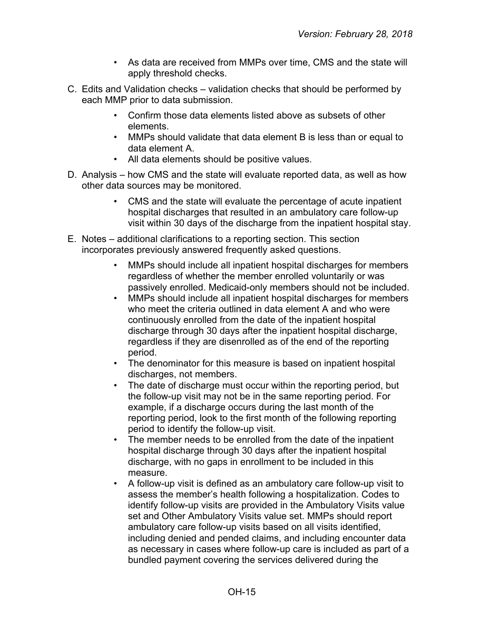- As data are received from MMPs over time, CMS and the state will apply threshold checks.
- C. Edits and Validation checks validation checks that should be performed by each MMP prior to data submission.
	- Confirm those data elements listed above as subsets of other elements.
	- MMPs should validate that data element B is less than or equal to data element A.
	- All data elements should be positive values.
- D. Analysis how CMS and the state will evaluate reported data, as well as how other data sources may be monitored.
	- CMS and the state will evaluate the percentage of acute inpatient hospital discharges that resulted in an ambulatory care follow-up visit within 30 days of the discharge from the inpatient hospital stay.
- E. Notes additional clarifications to a reporting section. This section incorporates previously answered frequently asked questions.
	- MMPs should include all inpatient hospital discharges for members regardless of whether the member enrolled voluntarily or was passively enrolled. Medicaid-only members should not be included.
	- MMPs should include all inpatient hospital discharges for members who meet the criteria outlined in data element A and who were continuously enrolled from the date of the inpatient hospital discharge through 30 days after the inpatient hospital discharge, regardless if they are disenrolled as of the end of the reporting period.
	- The denominator for this measure is based on inpatient hospital discharges, not members.
	- The date of discharge must occur within the reporting period, but the follow-up visit may not be in the same reporting period. For example, if a discharge occurs during the last month of the reporting period, look to the first month of the following reporting period to identify the follow-up visit.
	- The member needs to be enrolled from the date of the inpatient hospital discharge through 30 days after the inpatient hospital discharge, with no gaps in enrollment to be included in this measure.
	- A follow-up visit is defined as an ambulatory care follow-up visit to assess the member's health following a hospitalization. Codes to identify follow-up visits are provided in the Ambulatory Visits value set and Other Ambulatory Visits value set. MMPs should report ambulatory care follow-up visits based on all visits identified, including denied and pended claims, and including encounter data as necessary in cases where follow-up care is included as part of a bundled payment covering the services delivered during the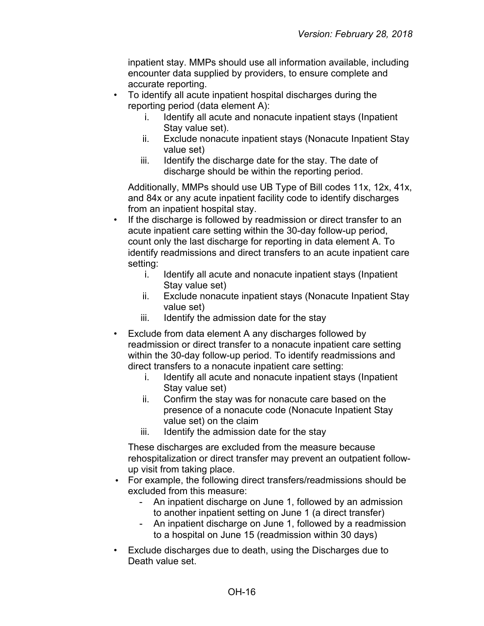inpatient stay. MMPs should use all information available, including encounter data supplied by providers, to ensure complete and accurate reporting.

- To identify all acute inpatient hospital discharges during the reporting period (data element A):
	- i. Identify all acute and nonacute inpatient stays (Inpatient Stay value set).
	- ii. Exclude nonacute inpatient stays (Nonacute Inpatient Stay value set)
	- iii. Identify the discharge date for the stay. The date of discharge should be within the reporting period.

Additionally, MMPs should use UB Type of Bill codes 11x, 12x, 41x, and 84x or any acute inpatient facility code to identify discharges from an inpatient hospital stay.

- If the discharge is followed by readmission or direct transfer to an acute inpatient care setting within the 30-day follow-up period, count only the last discharge for reporting in data element A. To identify readmissions and direct transfers to an acute inpatient care setting:
	- i. Identify all acute and nonacute inpatient stays (Inpatient Stay value set)
	- ii. Exclude nonacute inpatient stays (Nonacute Inpatient Stay value set)
	- iii. Identify the admission date for the stay
- Exclude from data element A any discharges followed by readmission or direct transfer to a nonacute inpatient care setting within the 30-day follow-up period. To identify readmissions and direct transfers to a nonacute inpatient care setting:
	- i. Identify all acute and nonacute inpatient stays (Inpatient Stay value set)
	- ii. Confirm the stay was for nonacute care based on the presence of a nonacute code (Nonacute Inpatient Stay value set) on the claim
	- iii. Identify the admission date for the stay

These discharges are excluded from the measure because rehospitalization or direct transfer may prevent an outpatient followup visit from taking place.

- For example, the following direct transfers/readmissions should be excluded from this measure: •
	- An inpatient discharge on June 1, followed by an admission to another inpatient setting on June 1 (a direct transfer)
	- An inpatient discharge on June 1, followed by a readmission to a hospital on June 15 (readmission within 30 days)
- Exclude discharges due to death, using the Discharges due to Death value set.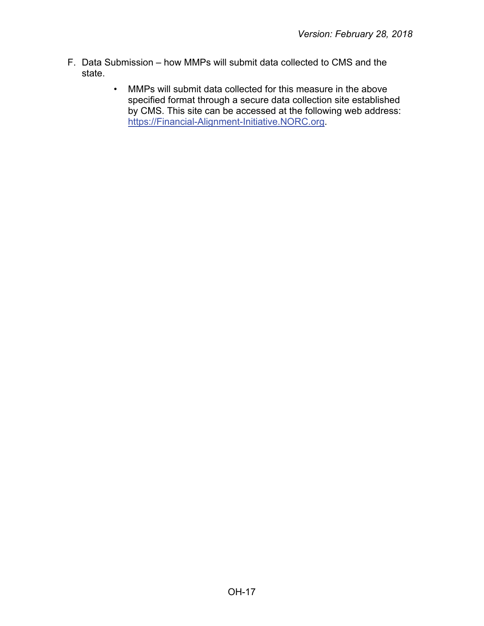- F. Data Submission how MMPs will submit data collected to CMS and the state.
	- MMPs will submit data collected for this measure in the above specified format through a secure data collection site established by CMS. This site can be accessed at the following web address: [https://Financial-Alignment-Initiative.NORC.org.](https://financial-alignment-initiative.norc.org/)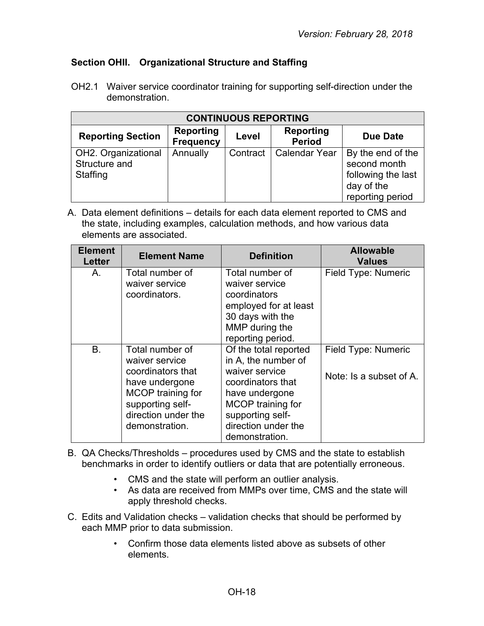## <span id="page-17-0"></span>**Section OHII. Organizational Structure and Staffing**

OH2.1 Waiver service coordinator training for supporting self-direction under the demonstration.

| <b>CONTINUOUS REPORTING</b>                      |                                      |          |                            |                                                                                           |  |
|--------------------------------------------------|--------------------------------------|----------|----------------------------|-------------------------------------------------------------------------------------------|--|
| <b>Reporting Section</b>                         | <b>Reporting</b><br><b>Frequency</b> | Level    | Reporting<br><b>Period</b> | Due Date                                                                                  |  |
| OH2. Organizational<br>Structure and<br>Staffing | Annually                             | Contract | <b>Calendar Year</b>       | By the end of the<br>second month<br>following the last<br>day of the<br>reporting period |  |

A. Data element definitions – details for each data element reported to CMS and the state, including examples, calculation methods, and how various data elements are associated.

| <b>Element</b><br><b>Letter</b> | <b>Element Name</b>                                                                                                                                        | <b>Definition</b>                                                                                                                                                                       | <b>Allowable</b><br><b>Values</b>              |
|---------------------------------|------------------------------------------------------------------------------------------------------------------------------------------------------------|-----------------------------------------------------------------------------------------------------------------------------------------------------------------------------------------|------------------------------------------------|
| А.                              | Total number of<br>waiver service<br>coordinators.                                                                                                         | Total number of<br>waiver service<br>coordinators<br>employed for at least<br>30 days with the<br>MMP during the<br>reporting period.                                                   | Field Type: Numeric                            |
| B <sub>r</sub>                  | Total number of<br>waiver service<br>coordinators that<br>have undergone<br>MCOP training for<br>supporting self-<br>direction under the<br>demonstration. | Of the total reported<br>in A, the number of<br>waiver service<br>coordinators that<br>have undergone<br>MCOP training for<br>supporting self-<br>direction under the<br>demonstration. | Field Type: Numeric<br>Note: Is a subset of A. |

- B. QA Checks/Thresholds procedures used by CMS and the state to establish benchmarks in order to identify outliers or data that are potentially erroneous.
	- CMS and the state will perform an outlier analysis.
	- As data are received from MMPs over time, CMS and the state will apply threshold checks.
- C. Edits and Validation checks validation checks that should be performed by each MMP prior to data submission.
	- Confirm those data elements listed above as subsets of other elements.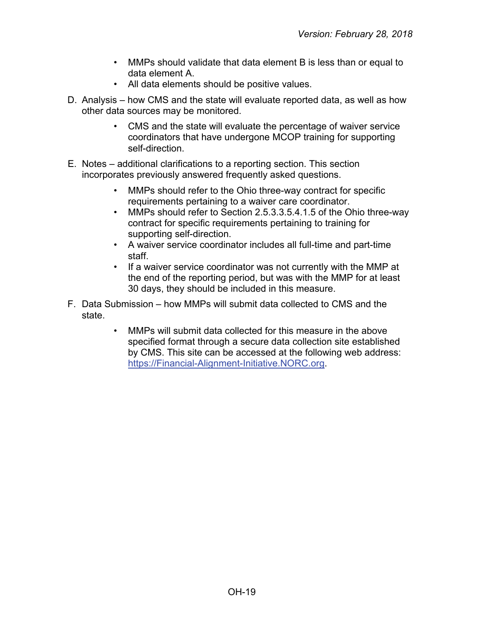- MMPs should validate that data element B is less than or equal to data element A.
- All data elements should be positive values.
- D. Analysis how CMS and the state will evaluate reported data, as well as how other data sources may be monitored.
	- CMS and the state will evaluate the percentage of waiver service coordinators that have undergone MCOP training for supporting self-direction.
- E. Notes additional clarifications to a reporting section. This section incorporates previously answered frequently asked questions.
	- MMPs should refer to the Ohio three-way contract for specific requirements pertaining to a waiver care coordinator.
	- MMPs should refer to Section 2.5.3.3.5.4.1.5 of the Ohio three-way contract for specific requirements pertaining to training for supporting self-direction.
	- A waiver service coordinator includes all full-time and part-time staff.
	- If a waiver service coordinator was not currently with the MMP at the end of the reporting period, but was with the MMP for at least 30 days, they should be included in this measure.
- F. Data Submission how MMPs will submit data collected to CMS and the state.
	- MMPs will submit data collected for this measure in the above specified format through a secure data collection site established by CMS. This site can be accessed at the following web address: [https://Financial-Alignment-Initiative.NORC.org.](https://financial-alignment-initiative.norc.org/)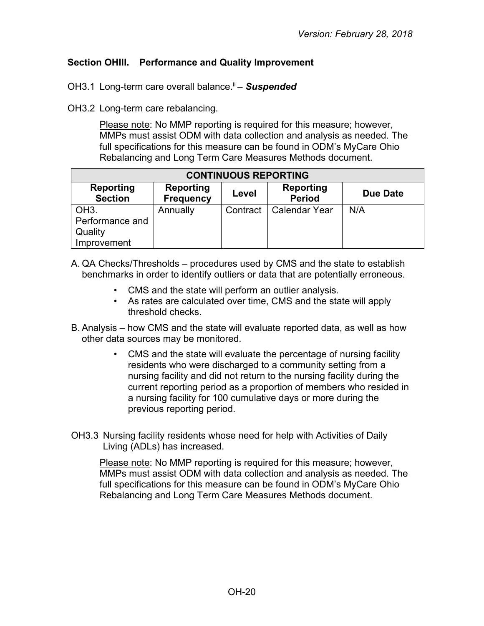#### <span id="page-19-0"></span>**Section OHIII. Performance and Quality Improvement**

OH3.1 Long-term care overall balance.<sup>ii</sup> – **Suspended** 

OH3.2 Long-term care rebalancing.

Please note: No MMP reporting is required for this measure; however, MMPs must assist ODM with data collection and analysis as needed. The full specifications for this measure can be found in ODM's MyCare Ohio Rebalancing and Long Term Care Measures Methods document.

| <b>CONTINUOUS REPORTING</b>                                                                                                   |          |          |                      |     |  |  |
|-------------------------------------------------------------------------------------------------------------------------------|----------|----------|----------------------|-----|--|--|
| Reporting<br><b>Reporting</b><br><b>Reporting</b><br>Due Date<br>Level<br><b>Period</b><br><b>Section</b><br><b>Frequency</b> |          |          |                      |     |  |  |
| OH <sub>3</sub> .                                                                                                             | Annually | Contract | <b>Calendar Year</b> | N/A |  |  |
| Performance and                                                                                                               |          |          |                      |     |  |  |
| Quality                                                                                                                       |          |          |                      |     |  |  |
| Improvement                                                                                                                   |          |          |                      |     |  |  |

A. QA Checks/Thresholds – procedures used by CMS and the state to establish benchmarks in order to identify outliers or data that are potentially erroneous.

- CMS and the state will perform an outlier analysis.
- As rates are calculated over time, CMS and the state will apply threshold checks.
- B. Analysis how CMS and the state will evaluate reported data, as well as how other data sources may be monitored.
	- CMS and the state will evaluate the percentage of nursing facility residents who were discharged to a community setting from a nursing facility and did not return to the nursing facility during the current reporting period as a proportion of members who resided in a nursing facility for 100 cumulative days or more during the previous reporting period.
- OH3.3 Nursing facility residents whose need for help with Activities of Daily Living (ADLs) has increased.

Please note: No MMP reporting is required for this measure; however, MMPs must assist ODM with data collection and analysis as needed. The full specifications for this measure can be found in ODM's MyCare Ohio Rebalancing and Long Term Care Measures Methods document.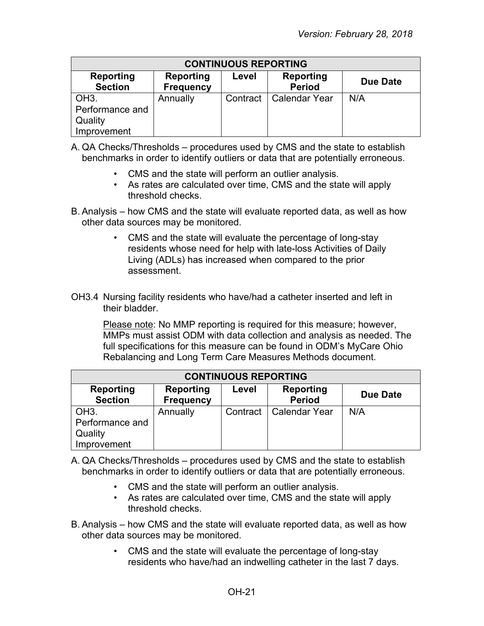| <b>CONTINUOUS REPORTING</b>                                                                                            |          |          |                      |     |  |  |
|------------------------------------------------------------------------------------------------------------------------|----------|----------|----------------------|-----|--|--|
| <b>Reporting</b><br>Reporting<br>Reporting<br>Level<br>Due Date<br><b>Section</b><br><b>Period</b><br><b>Frequency</b> |          |          |                      |     |  |  |
| OH <sub>3</sub> .<br>Performance and<br>Quality<br>Improvement                                                         | Annually | Contract | <b>Calendar Year</b> | N/A |  |  |

A. QA Checks/Thresholds – procedures used by CMS and the state to establish benchmarks in order to identify outliers or data that are potentially erroneous.

- CMS and the state will perform an outlier analysis.
- As rates are calculated over time, CMS and the state will apply threshold checks.
- B. Analysis how CMS and the state will evaluate reported data, as well as how other data sources may be monitored.
	- CMS and the state will evaluate the percentage of long-stay residents whose need for help with late-loss Activities of Daily Living (ADLs) has increased when compared to the prior assessment.
- OH3.4 Nursing facility residents who have/had a catheter inserted and left in their bladder.

Please note: No MMP reporting is required for this measure; however, MMPs must assist ODM with data collection and analysis as needed. The full specifications for this measure can be found in ODM's MyCare Ohio Rebalancing and Long Term Care Measures Methods document.

| <b>CONTINUOUS REPORTING</b>          |                                                                                         |          |                      |     |  |  |
|--------------------------------------|-----------------------------------------------------------------------------------------|----------|----------------------|-----|--|--|
| <b>Reporting</b><br><b>Section</b>   | Reporting<br><b>Reporting</b><br>Level<br>Due Date<br><b>Period</b><br><b>Frequency</b> |          |                      |     |  |  |
| OH <sub>3</sub> .<br>Performance and | Annually                                                                                | Contract | <b>Calendar Year</b> | N/A |  |  |
| Quality<br>Improvement               |                                                                                         |          |                      |     |  |  |

- A. QA Checks/Thresholds procedures used by CMS and the state to establish benchmarks in order to identify outliers or data that are potentially erroneous.
	- CMS and the state will perform an outlier analysis.
	- As rates are calculated over time, CMS and the state will apply threshold checks.
- B. Analysis how CMS and the state will evaluate reported data, as well as how other data sources may be monitored.
	- CMS and the state will evaluate the percentage of long-stay residents who have/had an indwelling catheter in the last 7 days.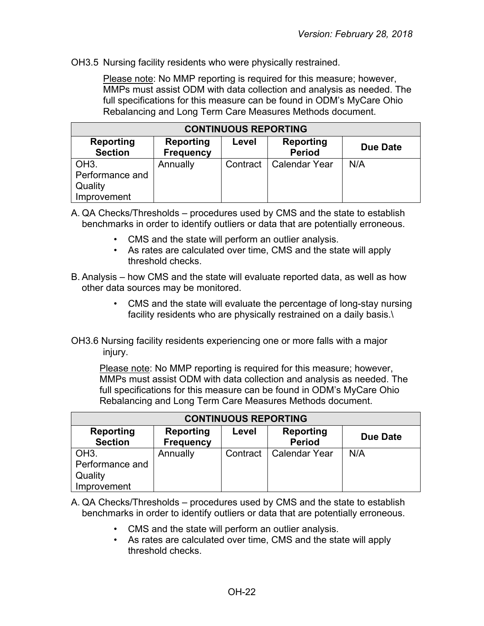OH3.5 Nursing facility residents who were physically restrained.

Please note: No MMP reporting is required for this measure; however, MMPs must assist ODM with data collection and analysis as needed. The full specifications for this measure can be found in ODM's MyCare Ohio Rebalancing and Long Term Care Measures Methods document.

| <b>CONTINUOUS REPORTING</b>                                                                                                   |          |          |               |     |  |
|-------------------------------------------------------------------------------------------------------------------------------|----------|----------|---------------|-----|--|
| <b>Reporting</b><br><b>Reporting</b><br>Reporting<br>Level<br>Due Date<br><b>Section</b><br><b>Period</b><br><b>Frequency</b> |          |          |               |     |  |
| OH <sub>3</sub> .<br>Performance and<br>Quality<br>Improvement                                                                | Annually | Contract | Calendar Year | N/A |  |

A. QA Checks/Thresholds – procedures used by CMS and the state to establish benchmarks in order to identify outliers or data that are potentially erroneous.

- CMS and the state will perform an outlier analysis.
- As rates are calculated over time, CMS and the state will apply threshold checks.
- B. Analysis how CMS and the state will evaluate reported data, as well as how other data sources may be monitored.
	- CMS and the state will evaluate the percentage of long-stay nursing facility residents who are physically restrained on a daily basis.\
- OH3.6 Nursing facility residents experiencing one or more falls with a major injury.

Please note: No MMP reporting is required for this measure; however, MMPs must assist ODM with data collection and analysis as needed. The full specifications for this measure can be found in ODM's MyCare Ohio Rebalancing and Long Term Care Measures Methods document.

| <b>CONTINUOUS REPORTING</b>                                                                                            |          |          |                      |     |  |
|------------------------------------------------------------------------------------------------------------------------|----------|----------|----------------------|-----|--|
| Reporting<br>Reporting<br><b>Reporting</b><br>Level<br>Due Date<br><b>Section</b><br><b>Period</b><br><b>Frequency</b> |          |          |                      |     |  |
| OH <sub>3</sub> .<br>Performance and<br>Quality<br>Improvement                                                         | Annually | Contract | <b>Calendar Year</b> | N/A |  |

A. QA Checks/Thresholds – procedures used by CMS and the state to establish benchmarks in order to identify outliers or data that are potentially erroneous.

- CMS and the state will perform an outlier analysis.
- As rates are calculated over time, CMS and the state will apply threshold checks.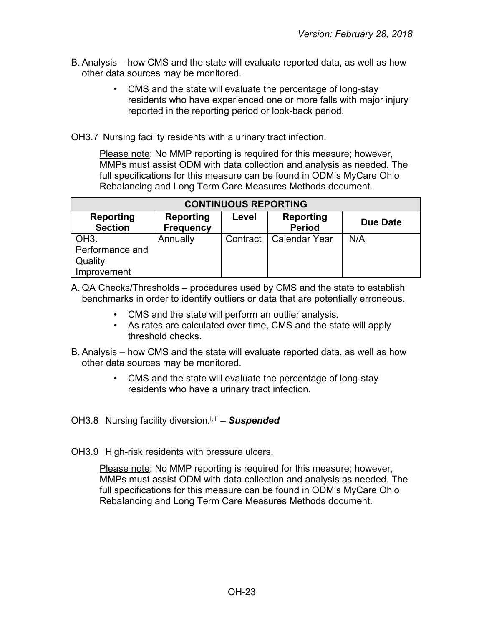- B. Analysis how CMS and the state will evaluate reported data, as well as how other data sources may be monitored.
	- CMS and the state will evaluate the percentage of long-stay residents who have experienced one or more falls with major injury reported in the reporting period or look-back period.
- OH3.7 Nursing facility residents with a urinary tract infection.

Please note: No MMP reporting is required for this measure; however, MMPs must assist ODM with data collection and analysis as needed. The full specifications for this measure can be found in ODM's MyCare Ohio Rebalancing and Long Term Care Measures Methods document.

| <b>CONTINUOUS REPORTING</b>                                                                                     |          |          |                      |     |  |
|-----------------------------------------------------------------------------------------------------------------|----------|----------|----------------------|-----|--|
| Reporting<br>Reporting<br>Reporting<br>Level<br>Due Date<br><b>Section</b><br><b>Period</b><br><b>Frequency</b> |          |          |                      |     |  |
| OH <sub>3</sub> .<br>Performance and<br>Quality<br>Improvement                                                  | Annually | Contract | <b>Calendar Year</b> | N/A |  |

A. QA Checks/Thresholds – procedures used by CMS and the state to establish benchmarks in order to identify outliers or data that are potentially erroneous.

- CMS and the state will perform an outlier analysis.
- As rates are calculated over time, CMS and the state will apply threshold checks.
- B. Analysis how CMS and the state will evaluate reported data, as well as how other data sources may be monitored.
	- CMS and the state will evaluate the percentage of long-stay residents who have a urinary tract infection.
- OH3.8 Nursing facility diversion.<sup>i, ii</sup> **Suspended**
- OH3.9 High-risk residents with pressure ulcers.

Please note: No MMP reporting is required for this measure; however, MMPs must assist ODM with data collection and analysis as needed. The full specifications for this measure can be found in ODM's MyCare Ohio Rebalancing and Long Term Care Measures Methods document.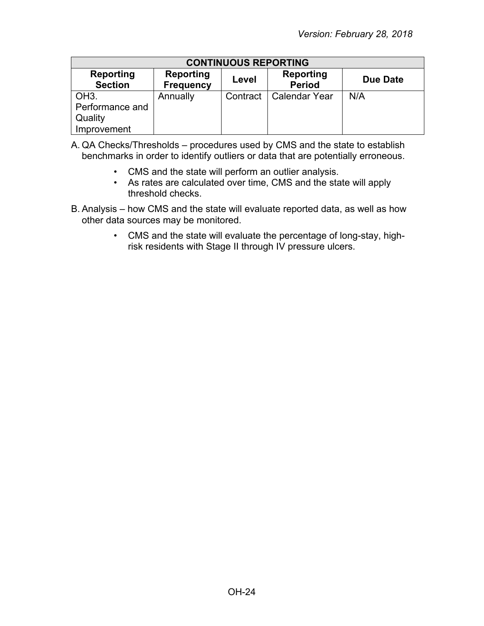| <b>CONTINUOUS REPORTING</b>                                                                                            |          |          |                      |     |  |
|------------------------------------------------------------------------------------------------------------------------|----------|----------|----------------------|-----|--|
| Reporting<br><b>Reporting</b><br>Reporting<br>Due Date<br>Level<br><b>Period</b><br><b>Section</b><br><b>Frequency</b> |          |          |                      |     |  |
| OH <sub>3</sub> .                                                                                                      | Annually | Contract | <b>Calendar Year</b> | N/A |  |
| Performance and                                                                                                        |          |          |                      |     |  |
| Quality                                                                                                                |          |          |                      |     |  |
| Improvement                                                                                                            |          |          |                      |     |  |

A. QA Checks/Thresholds – procedures used by CMS and the state to establish benchmarks in order to identify outliers or data that are potentially erroneous.

- CMS and the state will perform an outlier analysis.
- As rates are calculated over time, CMS and the state will apply threshold checks.
- B. Analysis how CMS and the state will evaluate reported data, as well as how other data sources may be monitored.
	- CMS and the state will evaluate the percentage of long-stay, highrisk residents with Stage II through IV pressure ulcers.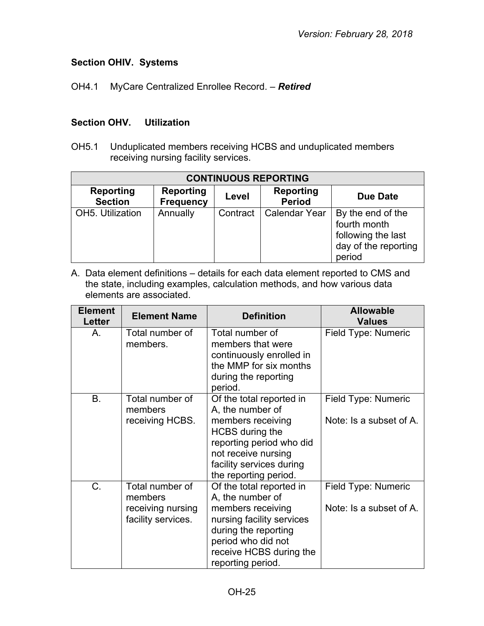## <span id="page-24-0"></span>**Section OHIV. Systems**

OH4.1 MyCare Centralized Enrollee Record. – *Retired*

#### **Section OHV. Utilization**

OH5.1 Unduplicated members receiving HCBS and unduplicated members receiving nursing facility services.

| <b>CONTINUOUS REPORTING</b>        |                                      |          |                                   |                                                                                           |  |
|------------------------------------|--------------------------------------|----------|-----------------------------------|-------------------------------------------------------------------------------------------|--|
| <b>Reporting</b><br><b>Section</b> | <b>Reporting</b><br><b>Frequency</b> | Level    | <b>Reporting</b><br><b>Period</b> | Due Date                                                                                  |  |
| OH5. Utilization                   | Annually                             | Contract | <b>Calendar Year</b>              | By the end of the<br>fourth month<br>following the last<br>day of the reporting<br>period |  |

A. Data element definitions – details for each data element reported to CMS and the state, including examples, calculation methods, and how various data elements are associated.

| <b>Element</b><br><b>Letter</b> | <b>Element Name</b>                                                   | <b>Definition</b>                                                                                                                                                                                   | <b>Allowable</b><br><b>Values</b>              |
|---------------------------------|-----------------------------------------------------------------------|-----------------------------------------------------------------------------------------------------------------------------------------------------------------------------------------------------|------------------------------------------------|
| $A_{1}$                         | Total number of<br>members.                                           | Total number of<br>members that were<br>continuously enrolled in<br>the MMP for six months<br>during the reporting<br>period.                                                                       | Field Type: Numeric                            |
| <b>B.</b>                       | Total number of<br>members<br>receiving HCBS.                         | Of the total reported in<br>A, the number of<br>members receiving<br><b>HCBS</b> during the<br>reporting period who did<br>not receive nursing<br>facility services during<br>the reporting period. | Field Type: Numeric<br>Note: Is a subset of A. |
| $C_{\cdot}$                     | Total number of<br>members<br>receiving nursing<br>facility services. | Of the total reported in<br>A, the number of<br>members receiving<br>nursing facility services<br>during the reporting<br>period who did not<br>receive HCBS during the<br>reporting period.        | Field Type: Numeric<br>Note: Is a subset of A. |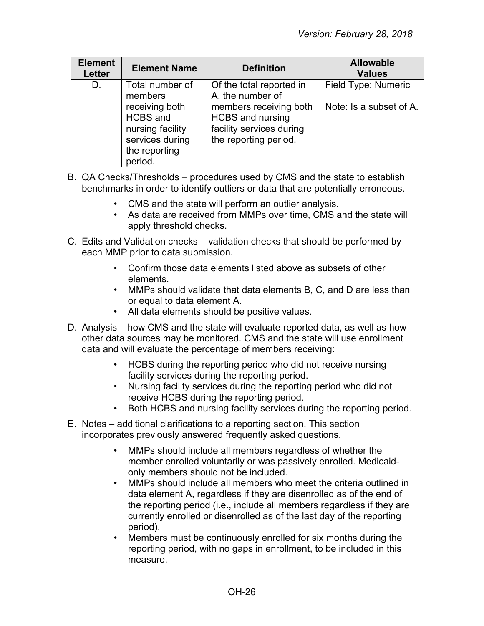| <b>Element</b><br>Letter | <b>Element Name</b>                                                                                                                | <b>Definition</b>                                                                                                                                      | <b>Allowable</b><br><b>Values</b>              |
|--------------------------|------------------------------------------------------------------------------------------------------------------------------------|--------------------------------------------------------------------------------------------------------------------------------------------------------|------------------------------------------------|
| D.                       | Total number of<br>members<br>receiving both<br><b>HCBS</b> and<br>nursing facility<br>services during<br>the reporting<br>period. | Of the total reported in<br>A, the number of<br>members receiving both<br><b>HCBS</b> and nursing<br>facility services during<br>the reporting period. | Field Type: Numeric<br>Note: Is a subset of A. |

- B. QA Checks/Thresholds procedures used by CMS and the state to establish benchmarks in order to identify outliers or data that are potentially erroneous.
	- CMS and the state will perform an outlier analysis.
	- As data are received from MMPs over time, CMS and the state will apply threshold checks.
- C. Edits and Validation checks validation checks that should be performed by each MMP prior to data submission.
	- Confirm those data elements listed above as subsets of other elements.
	- MMPs should validate that data elements B, C, and D are less than or equal to data element A.
	- All data elements should be positive values.
- D. Analysis how CMS and the state will evaluate reported data, as well as how other data sources may be monitored. CMS and the state will use enrollment data and will evaluate the percentage of members receiving:
	- HCBS during the reporting period who did not receive nursing facility services during the reporting period.
	- Nursing facility services during the reporting period who did not receive HCBS during the reporting period.
	- Both HCBS and nursing facility services during the reporting period.
- E. Notes additional clarifications to a reporting section. This section incorporates previously answered frequently asked questions.
	- MMPs should include all members regardless of whether the member enrolled voluntarily or was passively enrolled. Medicaidonly members should not be included.
	- MMPs should include all members who meet the criteria outlined in data element A, regardless if they are disenrolled as of the end of the reporting period (i.e., include all members regardless if they are currently enrolled or disenrolled as of the last day of the reporting period).
	- Members must be continuously enrolled for six months during the reporting period, with no gaps in enrollment, to be included in this measure.